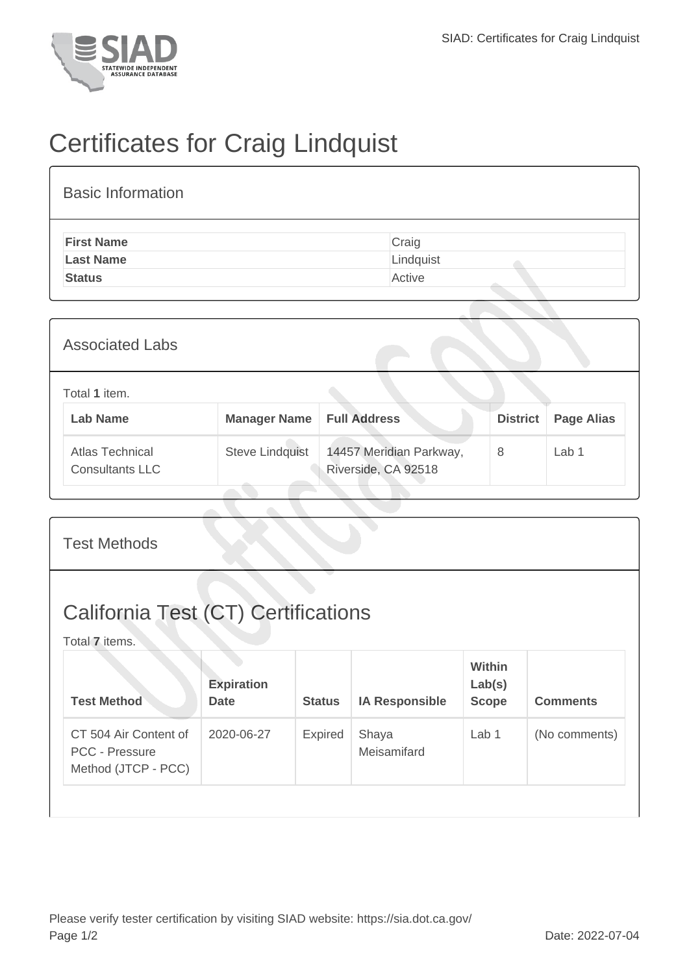

## Certificates for Craig Lindquist

| <b>Basic Information</b> |           |
|--------------------------|-----------|
| <b>First Name</b>        | Craig     |
| <b>Last Name</b>         | Lindquist |
| <b>Status</b>            | Active    |

| <b>Associated Labs</b>                    |                                    |                                                |                 |                   |
|-------------------------------------------|------------------------------------|------------------------------------------------|-----------------|-------------------|
| Total 1 item.<br><b>Lab Name</b>          | <b>Manager Name   Full Address</b> |                                                | <b>District</b> | <b>Page Alias</b> |
| Atlas Technical<br><b>Consultants LLC</b> | <b>Steve Lindquist</b>             | 14457 Meridian Parkway,<br>Riverside, CA 92518 | 8               | Lab <sub>1</sub>  |

| <b>Test Methods</b>                                                   |                                  |                |                       |                                         |                 |  |
|-----------------------------------------------------------------------|----------------------------------|----------------|-----------------------|-----------------------------------------|-----------------|--|
| <b>California Test (CT) Certifications</b><br>Total 7 items.          |                                  |                |                       |                                         |                 |  |
| <b>Test Method</b>                                                    | <b>Expiration</b><br><b>Date</b> | <b>Status</b>  | <b>IA Responsible</b> | <b>Within</b><br>Lab(s)<br><b>Scope</b> | <b>Comments</b> |  |
| CT 504 Air Content of<br><b>PCC - Pressure</b><br>Method (JTCP - PCC) | 2020-06-27                       | <b>Expired</b> | Shaya<br>Meisamifard  | Lab $1$                                 | (No comments)   |  |